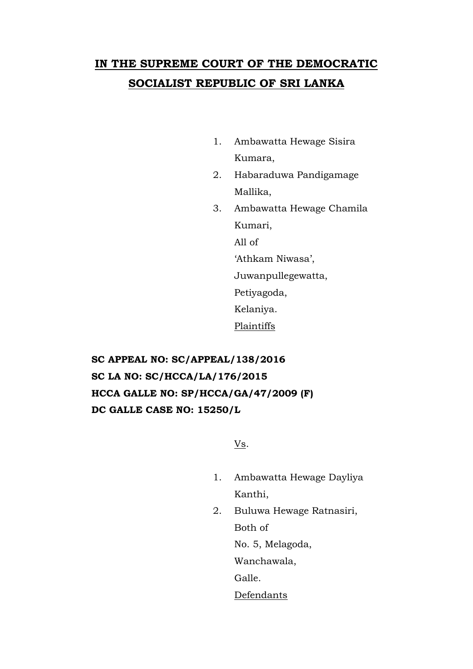# **IN THE SUPREME COURT OF THE DEMOCRATIC SOCIALIST REPUBLIC OF SRI LANKA**

- 1. Ambawatta Hewage Sisira Kumara,
- 2. Habaraduwa Pandigamage Mallika,
- 3. Ambawatta Hewage Chamila Kumari, All of 'Athkam Niwasa', Juwanpullegewatta, Petiyagoda, Kelaniya. Plaintiffs

**SC APPEAL NO: SC/APPEAL/138/2016 SC LA NO: SC/HCCA/LA/176/2015 HCCA GALLE NO: SP/HCCA/GA/47/2009 (F) DC GALLE CASE NO: 15250/L**

Vs.

- 1. Ambawatta Hewage Dayliya Kanthi,
- 2. Buluwa Hewage Ratnasiri, Both of

No. 5, Melagoda,

Wanchawala,

Galle.

Defendants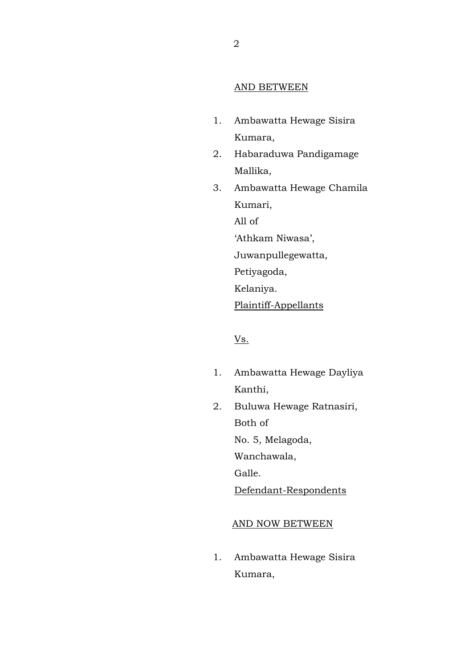### AND BETWEEN

- 1. Ambawatta Hewage Sisira Kumara,
- 2. Habaraduwa Pandigamage Mallika,
- 3. Ambawatta Hewage Chamila Kumari, All of 'Athkam Niwasa', Juwanpullegewatta, Petiyagoda, Kelaniya.

Plaintiff-Appellants

## Vs.

- 1. Ambawatta Hewage Dayliya Kanthi,
- 2. Buluwa Hewage Ratnasiri, Both of

No. 5, Melagoda,

Wanchawala,

Galle.

Defendant-Respondents

### AND NOW BETWEEN

1. Ambawatta Hewage Sisira Kumara,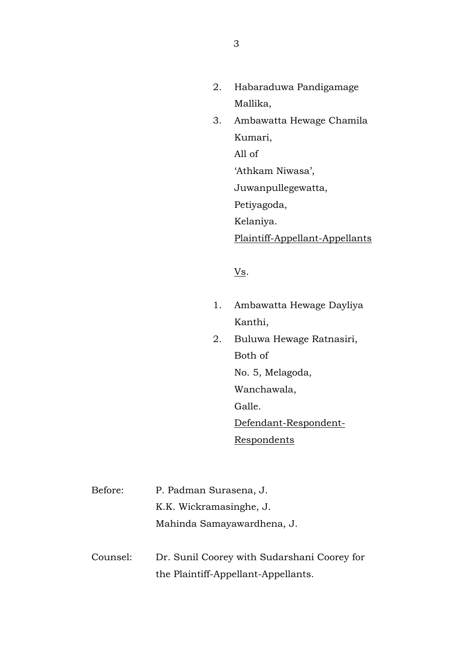- 2. Habaraduwa Pandigamage Mallika,
- 3. Ambawatta Hewage Chamila Kumari, All of 'Athkam Niwasa',

Juwanpullegewatta,

Petiyagoda,

Kelaniya.

Plaintiff-Appellant-Appellants

Vs.

- 1. Ambawatta Hewage Dayliya Kanthi,
- 2. Buluwa Hewage Ratnasiri, Both of No. 5, Melagoda, Wanchawala, Galle. Defendant-Respondent-**Respondents**

Before: P. Padman Surasena, J. K.K. Wickramasinghe, J. Mahinda Samayawardhena, J.

Counsel: Dr. Sunil Coorey with Sudarshani Coorey for the Plaintiff-Appellant-Appellants.

3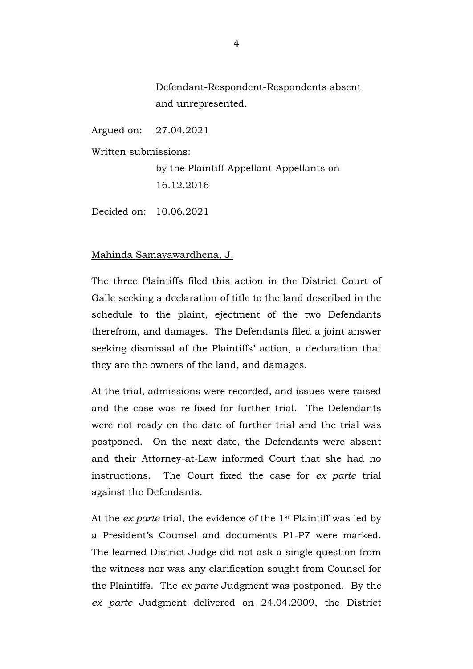Defendant-Respondent-Respondents absent and unrepresented.

Argued on: 27.04.2021

Written submissions:

by the Plaintiff-Appellant-Appellants on 16.12.2016

Decided on: 10.06.2021

## Mahinda Samayawardhena, J.

The three Plaintiffs filed this action in the District Court of Galle seeking a declaration of title to the land described in the schedule to the plaint, ejectment of the two Defendants therefrom, and damages. The Defendants filed a joint answer seeking dismissal of the Plaintiffs' action, a declaration that they are the owners of the land, and damages.

At the trial, admissions were recorded, and issues were raised and the case was re-fixed for further trial. The Defendants were not ready on the date of further trial and the trial was postponed. On the next date, the Defendants were absent and their Attorney-at-Law informed Court that she had no instructions. The Court fixed the case for *ex parte* trial against the Defendants.

At the *ex parte* trial, the evidence of the 1st Plaintiff was led by a President's Counsel and documents P1-P7 were marked. The learned District Judge did not ask a single question from the witness nor was any clarification sought from Counsel for the Plaintiffs. The *ex parte* Judgment was postponed. By the *ex parte* Judgment delivered on 24.04.2009, the District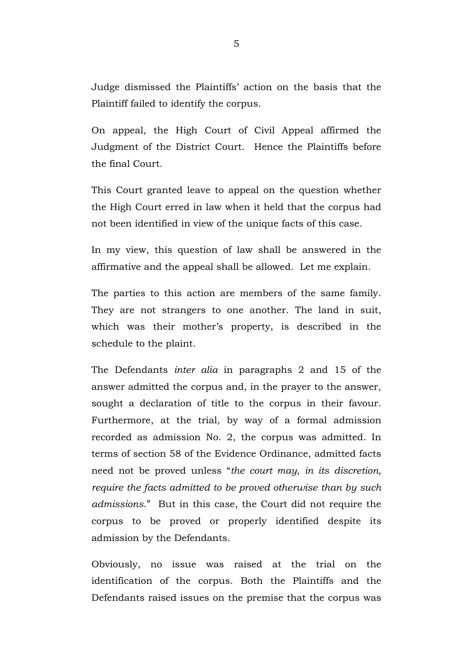Judge dismissed the Plaintiffs' action on the basis that the Plaintiff failed to identify the corpus.

On appeal, the High Court of Civil Appeal affirmed the Judgment of the District Court. Hence the Plaintiffs before the final Court.

This Court granted leave to appeal on the question whether the High Court erred in law when it held that the corpus had not been identified in view of the unique facts of this case.

In my view, this question of law shall be answered in the affirmative and the appeal shall be allowed. Let me explain.

The parties to this action are members of the same family. They are not strangers to one another. The land in suit, which was their mother's property, is described in the schedule to the plaint.

The Defendants *inter alia* in paragraphs 2 and 15 of the answer admitted the corpus and, in the prayer to the answer, sought a declaration of title to the corpus in their favour. Furthermore, at the trial, by way of a formal admission recorded as admission No. 2, the corpus was admitted. In terms of section 58 of the Evidence Ordinance, admitted facts need not be proved unless "*the court may, in its discretion, require the facts admitted to be proved otherwise than by such admissions*." But in this case, the Court did not require the corpus to be proved or properly identified despite its admission by the Defendants.

Obviously, no issue was raised at the trial on the identification of the corpus. Both the Plaintiffs and the Defendants raised issues on the premise that the corpus was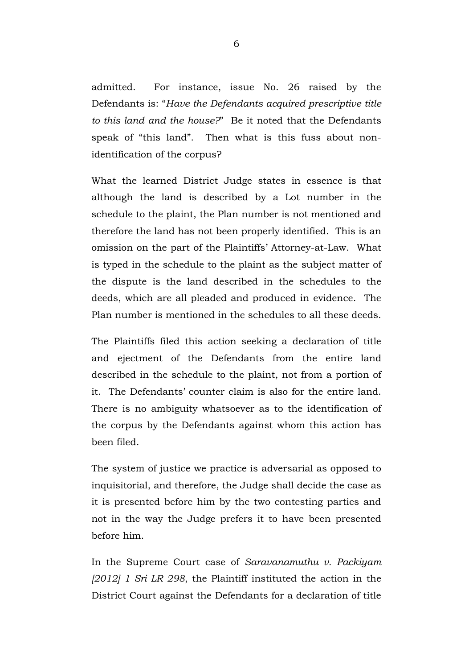admitted. For instance, issue No. 26 raised by the Defendants is: "*Have the Defendants acquired prescriptive title to this land and the house?*" Be it noted that the Defendants speak of "this land". Then what is this fuss about nonidentification of the corpus?

What the learned District Judge states in essence is that although the land is described by a Lot number in the schedule to the plaint, the Plan number is not mentioned and therefore the land has not been properly identified. This is an omission on the part of the Plaintiffs' Attorney-at-Law. What is typed in the schedule to the plaint as the subject matter of the dispute is the land described in the schedules to the deeds, which are all pleaded and produced in evidence. The Plan number is mentioned in the schedules to all these deeds.

The Plaintiffs filed this action seeking a declaration of title and ejectment of the Defendants from the entire land described in the schedule to the plaint, not from a portion of it. The Defendants' counter claim is also for the entire land. There is no ambiguity whatsoever as to the identification of the corpus by the Defendants against whom this action has been filed.

The system of justice we practice is adversarial as opposed to inquisitorial, and therefore, the Judge shall decide the case as it is presented before him by the two contesting parties and not in the way the Judge prefers it to have been presented before him.

In the Supreme Court case of *Saravanamuthu v. Packiyam [2012] 1 Sri LR 298*, the Plaintiff instituted the action in the District Court against the Defendants for a declaration of title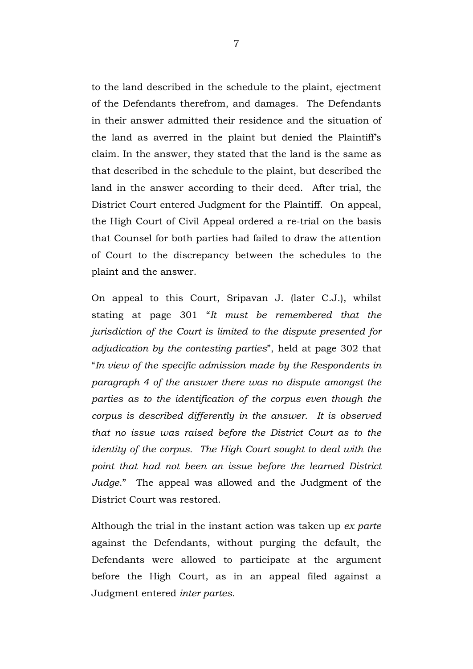to the land described in the schedule to the plaint, ejectment of the Defendants therefrom, and damages. The Defendants in their answer admitted their residence and the situation of the land as averred in the plaint but denied the Plaintiff's claim. In the answer, they stated that the land is the same as that described in the schedule to the plaint, but described the land in the answer according to their deed. After trial, the District Court entered Judgment for the Plaintiff. On appeal, the High Court of Civil Appeal ordered a re-trial on the basis that Counsel for both parties had failed to draw the attention of Court to the discrepancy between the schedules to the plaint and the answer.

On appeal to this Court, Sripavan J. (later C.J.), whilst stating at page 301 "*It must be remembered that the jurisdiction of the Court is limited to the dispute presented for adjudication by the contesting parties*", held at page 302 that "*In view of the specific admission made by the Respondents in paragraph 4 of the answer there was no dispute amongst the parties as to the identification of the corpus even though the corpus is described differently in the answer. It is observed that no issue was raised before the District Court as to the identity of the corpus. The High Court sought to deal with the point that had not been an issue before the learned District Judge*." The appeal was allowed and the Judgment of the District Court was restored.

Although the trial in the instant action was taken up *ex parte* against the Defendants, without purging the default, the Defendants were allowed to participate at the argument before the High Court, as in an appeal filed against a Judgment entered *inter partes*.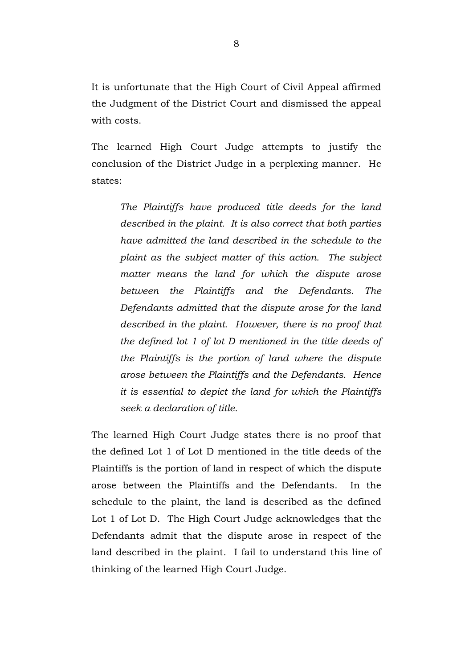It is unfortunate that the High Court of Civil Appeal affirmed the Judgment of the District Court and dismissed the appeal with costs.

The learned High Court Judge attempts to justify the conclusion of the District Judge in a perplexing manner. He states:

*The Plaintiffs have produced title deeds for the land described in the plaint. It is also correct that both parties have admitted the land described in the schedule to the plaint as the subject matter of this action. The subject matter means the land for which the dispute arose between the Plaintiffs and the Defendants. The Defendants admitted that the dispute arose for the land described in the plaint. However, there is no proof that the defined lot 1 of lot D mentioned in the title deeds of the Plaintiffs is the portion of land where the dispute arose between the Plaintiffs and the Defendants. Hence it is essential to depict the land for which the Plaintiffs seek a declaration of title.* 

The learned High Court Judge states there is no proof that the defined Lot 1 of Lot D mentioned in the title deeds of the Plaintiffs is the portion of land in respect of which the dispute arose between the Plaintiffs and the Defendants. In the schedule to the plaint, the land is described as the defined Lot 1 of Lot D. The High Court Judge acknowledges that the Defendants admit that the dispute arose in respect of the land described in the plaint. I fail to understand this line of thinking of the learned High Court Judge.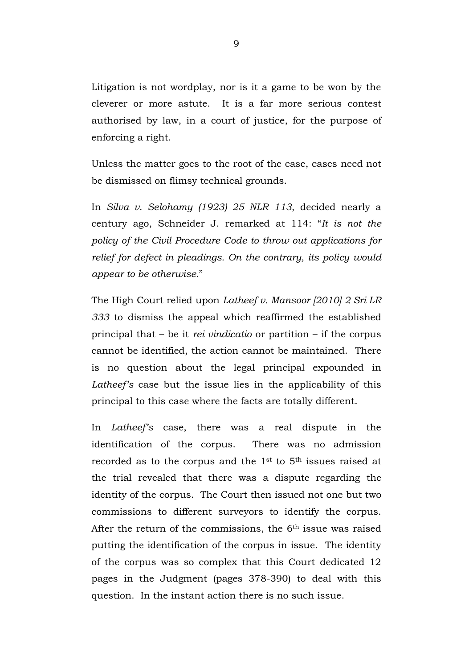Litigation is not wordplay, nor is it a game to be won by the cleverer or more astute. It is a far more serious contest authorised by law, in a court of justice, for the purpose of enforcing a right.

Unless the matter goes to the root of the case, cases need not be dismissed on flimsy technical grounds.

In *Silva v. Selohamy (1923) 25 NLR 113*, decided nearly a century ago, Schneider J. remarked at 114: "*It is not the policy of the Civil Procedure Code to throw out applications for relief for defect in pleadings. On the contrary, its policy would appear to be otherwise.*"

The High Court relied upon *Latheef v. Mansoor [2010] 2 Sri LR 333* to dismiss the appeal which reaffirmed the established principal that – be it *rei vindicatio* or partition – if the corpus cannot be identified, the action cannot be maintained. There is no question about the legal principal expounded in *Latheef's* case but the issue lies in the applicability of this principal to this case where the facts are totally different.

In *Latheef's* case, there was a real dispute in the identification of the corpus. There was no admission recorded as to the corpus and the 1<sup>st</sup> to 5<sup>th</sup> issues raised at the trial revealed that there was a dispute regarding the identity of the corpus. The Court then issued not one but two commissions to different surveyors to identify the corpus. After the return of the commissions, the 6<sup>th</sup> issue was raised putting the identification of the corpus in issue. The identity of the corpus was so complex that this Court dedicated 12 pages in the Judgment (pages 378-390) to deal with this question. In the instant action there is no such issue.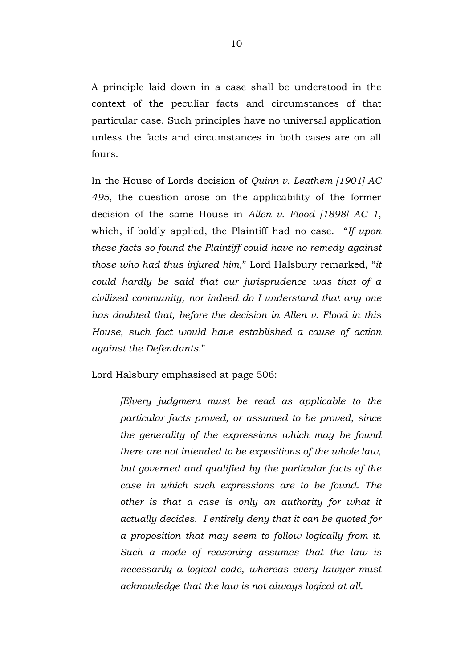A principle laid down in a case shall be understood in the context of the peculiar facts and circumstances of that particular case. Such principles have no universal application unless the facts and circumstances in both cases are on all fours.

In the House of Lords decision of *Quinn v. Leathem [1901] AC 495*, the question arose on the applicability of the former decision of the same House in *Allen v. Flood [1898] AC 1*, which, if boldly applied, the Plaintiff had no case. "*If upon these facts so found the Plaintiff could have no remedy against those who had thus injured him*," Lord Halsbury remarked, "*it could hardly be said that our jurisprudence was that of a civilized community, nor indeed do I understand that any one has doubted that, before the decision in Allen v. Flood in this House, such fact would have established a cause of action against the Defendants*."

Lord Halsbury emphasised at page 506:

*[E]very judgment must be read as applicable to the particular facts proved, or assumed to be proved, since the generality of the expressions which may be found there are not intended to be expositions of the whole law, but governed and qualified by the particular facts of the case in which such expressions are to be found. The other is that a case is only an authority for what it actually decides. I entirely deny that it can be quoted for a proposition that may seem to follow logically from it. Such a mode of reasoning assumes that the law is necessarily a logical code, whereas every lawyer must acknowledge that the law is not always logical at all.*